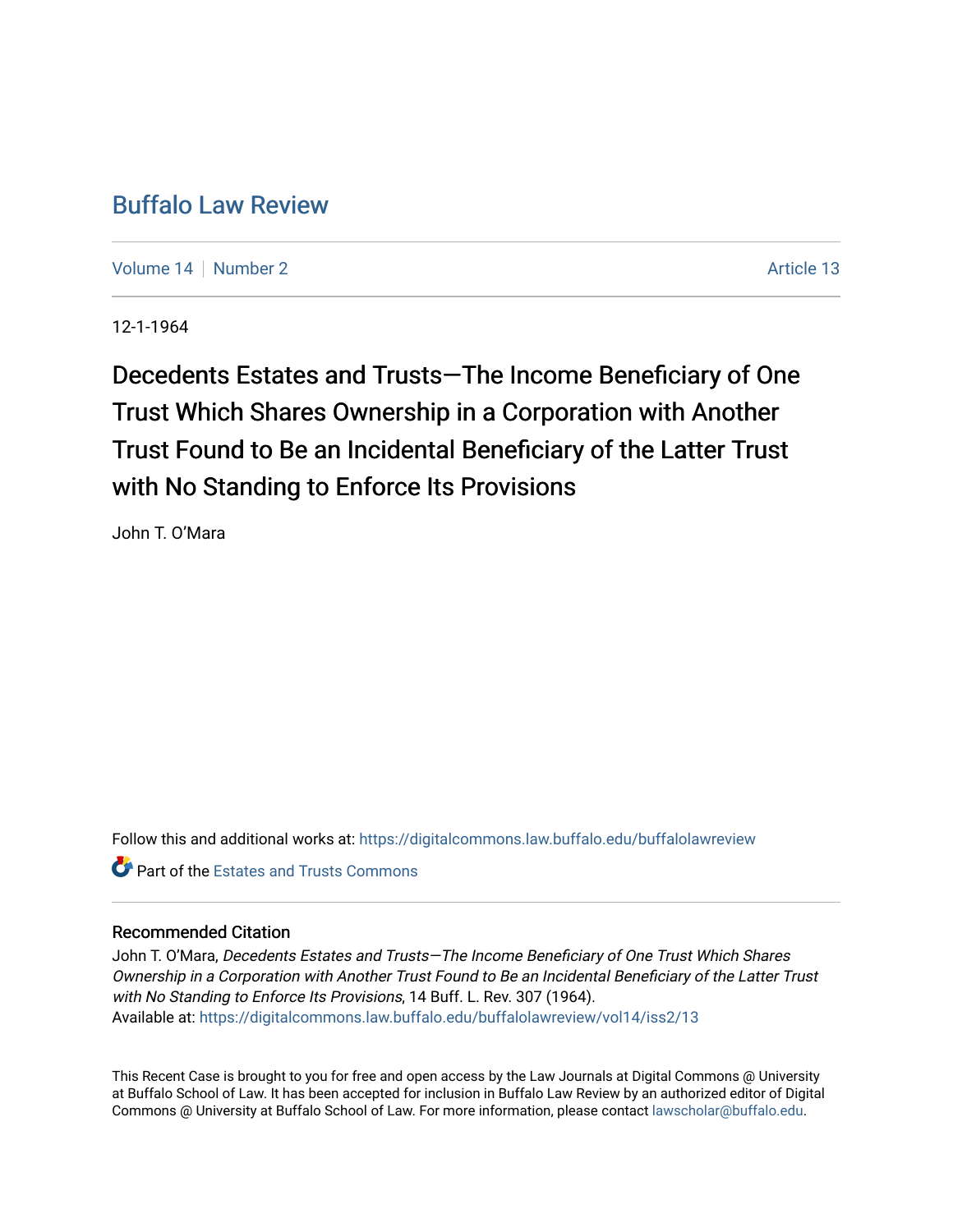# [Buffalo Law Review](https://digitalcommons.law.buffalo.edu/buffalolawreview)

[Volume 14](https://digitalcommons.law.buffalo.edu/buffalolawreview/vol14) | [Number 2](https://digitalcommons.law.buffalo.edu/buffalolawreview/vol14/iss2) Article 13

12-1-1964

Decedents Estates and Trusts—The Income Beneficiary of One Trust Which Shares Ownership in a Corporation with Another Trust Found to Be an Incidental Beneficiary of the Latter Trust with No Standing to Enforce Its Provisions

John T. O'Mara

Follow this and additional works at: [https://digitalcommons.law.buffalo.edu/buffalolawreview](https://digitalcommons.law.buffalo.edu/buffalolawreview?utm_source=digitalcommons.law.buffalo.edu%2Fbuffalolawreview%2Fvol14%2Fiss2%2F13&utm_medium=PDF&utm_campaign=PDFCoverPages) 

**C** Part of the Estates and Trusts Commons

## Recommended Citation

John T. O'Mara, Decedents Estates and Trusts—The Income Beneficiary of One Trust Which Shares Ownership in a Corporation with Another Trust Found to Be an Incidental Beneficiary of the Latter Trust with No Standing to Enforce Its Provisions, 14 Buff. L. Rev. 307 (1964). Available at: [https://digitalcommons.law.buffalo.edu/buffalolawreview/vol14/iss2/13](https://digitalcommons.law.buffalo.edu/buffalolawreview/vol14/iss2/13?utm_source=digitalcommons.law.buffalo.edu%2Fbuffalolawreview%2Fvol14%2Fiss2%2F13&utm_medium=PDF&utm_campaign=PDFCoverPages)

This Recent Case is brought to you for free and open access by the Law Journals at Digital Commons @ University at Buffalo School of Law. It has been accepted for inclusion in Buffalo Law Review by an authorized editor of Digital Commons @ University at Buffalo School of Law. For more information, please contact [lawscholar@buffalo.edu](mailto:lawscholar@buffalo.edu).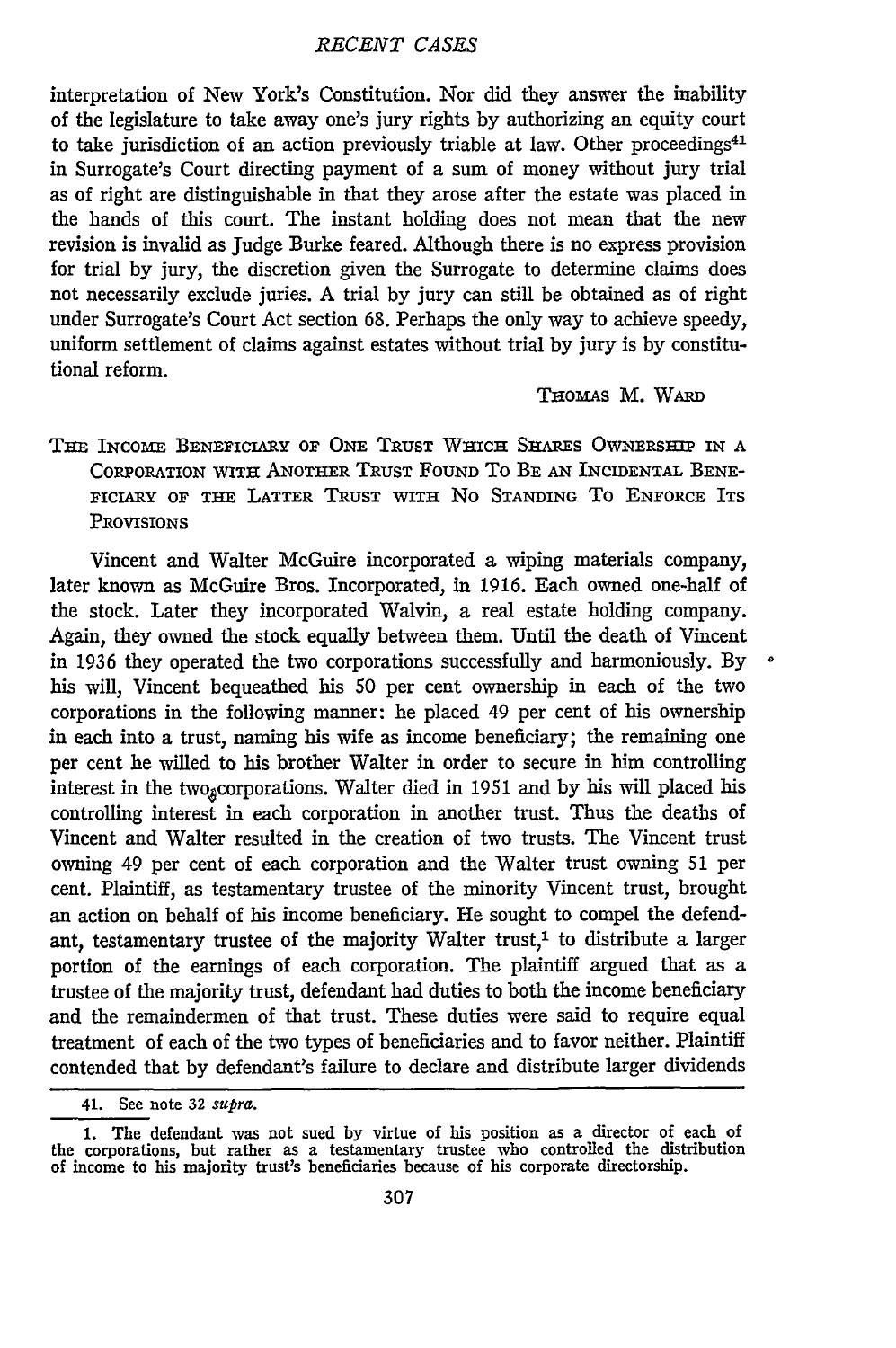interpretation of New York's Constitution. Nor did they answer the inability of the legislature to take away one's jury rights by authorizing an equity court to take jurisdiction of an action previously triable at law. Other proceedings $41$ in Surrogate's Court directing payment of a sum of money without jury trial as of right are distinguishable in that they arose after the estate was placed in the hands of this court. The instant holding does not mean that the new revision is invalid as Judge Burke feared. Although there is no express provision for trial by jury, the discretion given the Surrogate to determine claims does not necessarily exclude juries. A trial by jury can still be obtained as of right under Surrogate's Court Act section 68. Perhaps the only way to achieve speedy, uniform settlement of claims against estates without trial by jury is by constitutional reform.

#### THomAs M. WARD

## THE INcomra BENEFICIARY **OF ONE** TRUST WHICH SHAREs OWNERSHIP **IN A** CORPORATION WITH ANOTHER TRUST FOUND TO BE AN INCIDENTAL BENE-FICIARY OF THE LATTER TRUST WITH No **STANDING** To ENFORCE ITS **PROVISIONS**

Vincent and Walter McGuire incorporated a wiping materials company, later known as McGuire Bros. Incorporated, in 1916. Each owned one-half of the stock. Later they incorporated Walvin, a real estate holding company. Again, they owned the stock equally between them. Until the death of Vincent in 1936 they operated the two corporations successfully and harmoniously. By his will, Vincent bequeathed his **50** per cent ownership in each of the two corporations in the following manner: he placed 49 per cent of his ownership in each into a trust, naming his wife as income beneficiary; the remaining one per cent he willed to his brother Walter in order to secure in him controlling interest in the two<sub>g</sub>corporations. Walter died in 1951 and by his will placed his controlling interest in each corporation in another trust. Thus the deaths of Vincent and Walter resulted in the creation of two trusts. The Vincent trust owning 49 per cent of each corporation and the Walter trust owning 51 per cent. Plaintiff, as testamentary trustee of the minority Vincent trust, brought an action on behalf of his income beneficiary. He sought to compel the defendant, testamentary trustee of the majority Walter trust,<sup>1</sup> to distribute a larger portion of the earnings of each corporation. The plaintiff argued that as a trustee of the majority trust, defendant had duties to both the income beneficiary and the remaindermen of that trust. These duties were said to require equal treatment of each of the two types of beneficiaries and to favor neither. Plaintiff contended that by defendant's failure to declare and distribute larger dividends

<sup>41.</sup> See note 32 *supra.*

<sup>1.</sup> The defendant was not sued by virtue of his position as a director of each of the corporations, but rather as a testamentary trustee who controlled the distribution of income to his majority trust's beneficiaries because of his corporate directorship.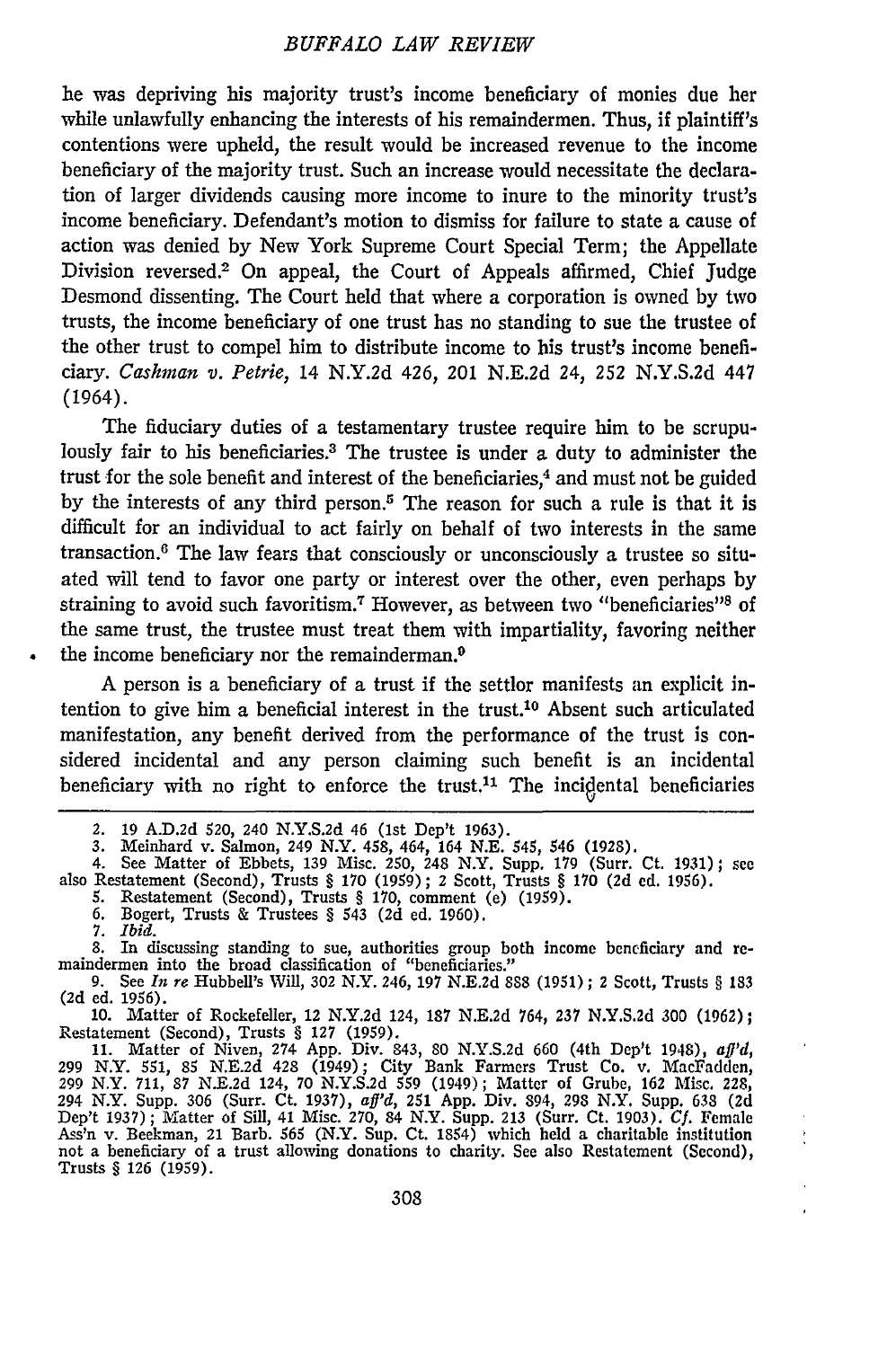he was depriving his majority trust's income beneficiary of monies due her while unlawfully enhancing the interests of his remaindermen. Thus, if plaintiff's contentions were upheld, the result would be increased revenue to the income beneficiary of the majority trust. Such an increase would necessitate the declaration of larger dividends causing more income to inure to the minority trust's income beneficiary. Defendant's motion to dismiss for failure to state a cause of action was denied by New York Supreme Court Special Term; the Appellate Division reversed.2 On appeal, the Court of Appeals affirmed, Chief Judge Desmond dissenting. The Court held that where a corporation is owned by two trusts, the income beneficiary of one trust has no standing to sue the trustee of the other trust to compel him to distribute income to his trust's income beneficiary. *Cashman v. Petrie,* 14 N.Y.2d 426, 201 N.E.2d *24,* 252 N.Y.S.2d 447 (1964).

The fiduciary duties of a testamentary trustee require him to be scrupulously fair to his beneficiaries.<sup>3</sup> The trustee is under a duty to administer the trust for the sole benefit and interest of the beneficiaries,<sup>4</sup> and must not be guided by the interests of any third person.5 The reason for such a rule is that it is difficult for an individual to act fairly on behalf of two interests in the same transaction. 6 The law fears that consciously or unconsciously a trustee so situated will tend to favor one party or interest over the other, even perhaps by straining to avoid such favoritism.<sup>7</sup> However, as between two "beneficiaries"<sup>8</sup> of the same trust, the trustee must treat them with impartiality, favoring neither the income beneficiary nor the remainderman.9

A person is a beneficiary of a trust if the settlor manifests an explicit intention to give him a beneficial interest in the trust.'0 Absent such articulated manifestation, any benefit derived from the performance of the trust is considered incidental and any person claiming such benefit is an incidental beneficiary with no right to enforce the trust.<sup>11</sup> The incidental beneficiaries

8. In discussing standing to sue, authorities group both income beneficiary and re- maindermen into the broad classification of "beneficiaries."

10. Matter of Rockefeller, 12 N.Y.2d 124, 187 N.E.2d 764, 237 N.Y.S.2d **300** (1962); Restatement (Second), Trusts § **127** (1959). 11. Matter of Niven, 274 App. Div. 843, 80 N.Y.S.2d 660 (4th Dep't 1948), *aft'd,*

299 N.Y. 551, 85 N.E.2d 428 (1949); City Bank Farmers Trust Co. v. MacFadden, 299 NXY. 711, **87** N.E.2d 124, 70 N.Y.S.2d **559** (1949); Matter of Grube, **162** Misc. **228,** 294 N.Y. Supp. 306 (Surr. Ct. 1937), *aff'd,* 251 App. Div. 894, 298 N.Y. Supp. **638 (2d** Dep't 1937); Matter of Sill, 41 Misc. 270, 84 N.Y. Supp. 213 (Surr. Ct. 1903). *Cf.* Female Ass'n v. Beekman, 21 Barb. 565 (N.Y. Sup. Ct. 1854) which held a charitable institution not a beneficiary of a trust allowing donations to charity. See also Restatement (Second), Trusts § **126** (1959).

ł

<sup>2. 19</sup> A.D.2d 520, 240 N.Y.S.2d 46 (1st Dep't 1963).<br>3. Meinhard v. Salmon, 249 N.Y. 458, 464, 164 N.E. 545, 546 (1928).<br>4. See Matter of Ebbets, 139 Misc. 250, 248 N.Y. Supp. 179 (Surr. Ct. 1931); see<br>also Restatement (Sec

<sup>5.</sup> Restatement (Second), Trusts § 170, comment (e) (1959). 6. Bogert, Trusts & Trustees § 543 (2d ed. 1960).

<sup>7.</sup> *Ibid.*

**<sup>9.</sup>** See *In re* Hubbell's Will, 302 N.Y. 246, 197 N.E.2d **888** (1951) **;** 2 Scott, Trusts § **<sup>183</sup>** (2d ed. 1956).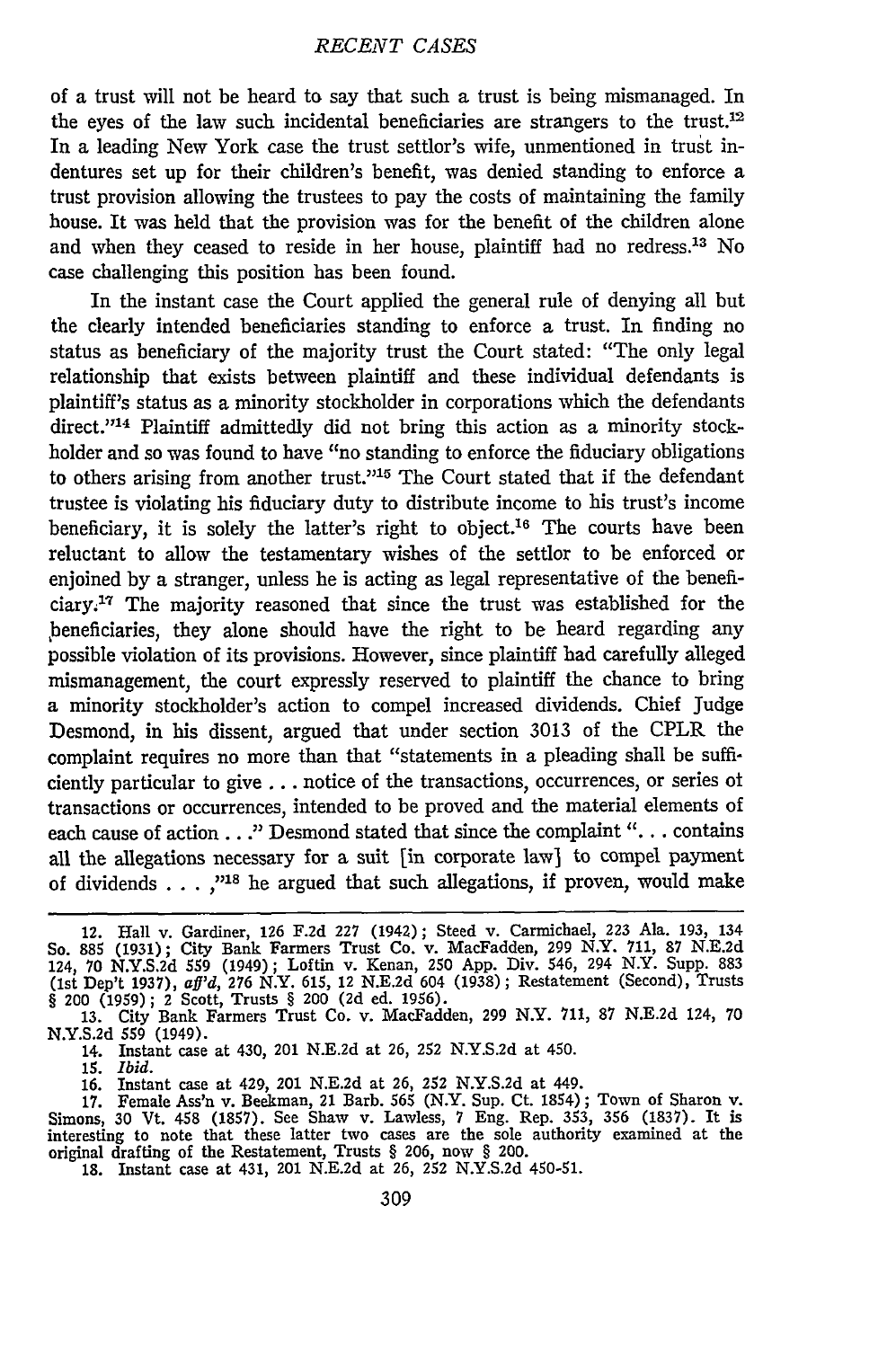of a trust will not be heard to say that such a trust is being mismanaged. In the eyes of the law such incidental beneficiaries are strangers to the trust.<sup>12</sup> In a leading New York case the trust settlor's wife, unmentioned in trust indentures set up for their children's benefit, was denied standing to enforce a trust provision allowing the trustees to pay the costs of maintaining the family house. It was held that the provision was for the benefit of the children alone and when they ceased to reside in her house, plaintiff had no redress.<sup>13</sup> No case challenging this position has been found.

In the instant case the Court applied the general rule of denying all but the dearly intended beneficiaries standing to enforce a trust. In finding no status as beneficiary of the majority trust the Court stated: "The only legal relationship that exists between plaintiff and these individual defendants is plaintiff's status as a minority stockholder in corporations which the defendants direct."<sup>14</sup> Plaintiff admittedly did not bring this action as a minority stockholder and so was found to have "no standing to enforce the fiduciary obligations to others arising from another trust."<sup>15</sup> The Court stated that if the defendant trustee is violating his fiduciary duty to distribute income to his trust's income beneficiary, it is solely the latter's right to object.<sup>16</sup> The courts have been reluctant to allow the testamentary wishes of the settlor to be enforced or enjoined by a stranger, unless he is acting as legal representative of the beneficiary.<sup>17</sup> The majority reasoned that since the trust was established for the ,beneficiaries, they alone should have the right to be heard regarding any possible violation of its provisions. However, since plaintiff had carefully alleged mismanagement, the court expressly reserved to plaintiff the chance to bring a minority stockholder's action to compel increased dividends. Chief Judge Desmond, in his dissent, argued that under section 3013 of the CPLR the complaint requires no more than that "statements in a pleading shall be sufficiently particular to give... notice of the transactions, occurrences, or series ot transactions or occurrences, intended to be proved and the material elements of each cause of action. **. ."** Desmond stated that since the complaint **"..** . contains all the allegations necessary for a suit [in corporate law] to compel payment of dividends  $\dots$ ,"<sup>18</sup> he argued that such allegations, if proven, would make

N.Y.S.2d 559 (1949).

14. Instant case at 430, 201 N.E.2d at 26, 252 N.Y.S.2d at 450.

*15. Ibid.* 16. Instant case at 429, 201 N.E.2d at **26,** 252 N.Y.S.2d at 449.

**17.** Female Ass'n v. Beekman, 21 Barb. 565 (N.Y. Sup. Ct. 1854); Town of Sharon v. Simons, 30 Vt. 458 (1857). See Shaw v. Lawless, **7** Eng. Rep. 353, 356 (1837). It is interesting to note that these latter two cases are the sole authority examined at the original drafting of the Restatement, Trusts § 206, now § 200. 18. Instant case at 431, 201 N.E.2d at **26,** 252 N.Y.S.2d 450-51.

<sup>12.</sup> Hall v. Gardiner, 126 F.2d 227 (1942); Steed v. Carmichael, 223 Ala. 193, 134<br>So. 885 (1931); City Bank Farmers Trust Co. v. MacFadden, 299 N.Y. 711, 87 N.E.2d<br>124, 70 N.Y.S.2d 559 (1949); Loftin v. Kenan, 250 App. Div § 200 (1959); 2 Scott, Trusts § 200 (2d ed. 1956). **13.** City Bank Farmers Trust Co. v. MacFadden, 299 N.Y. 711, **87** N.E.2d 124, 70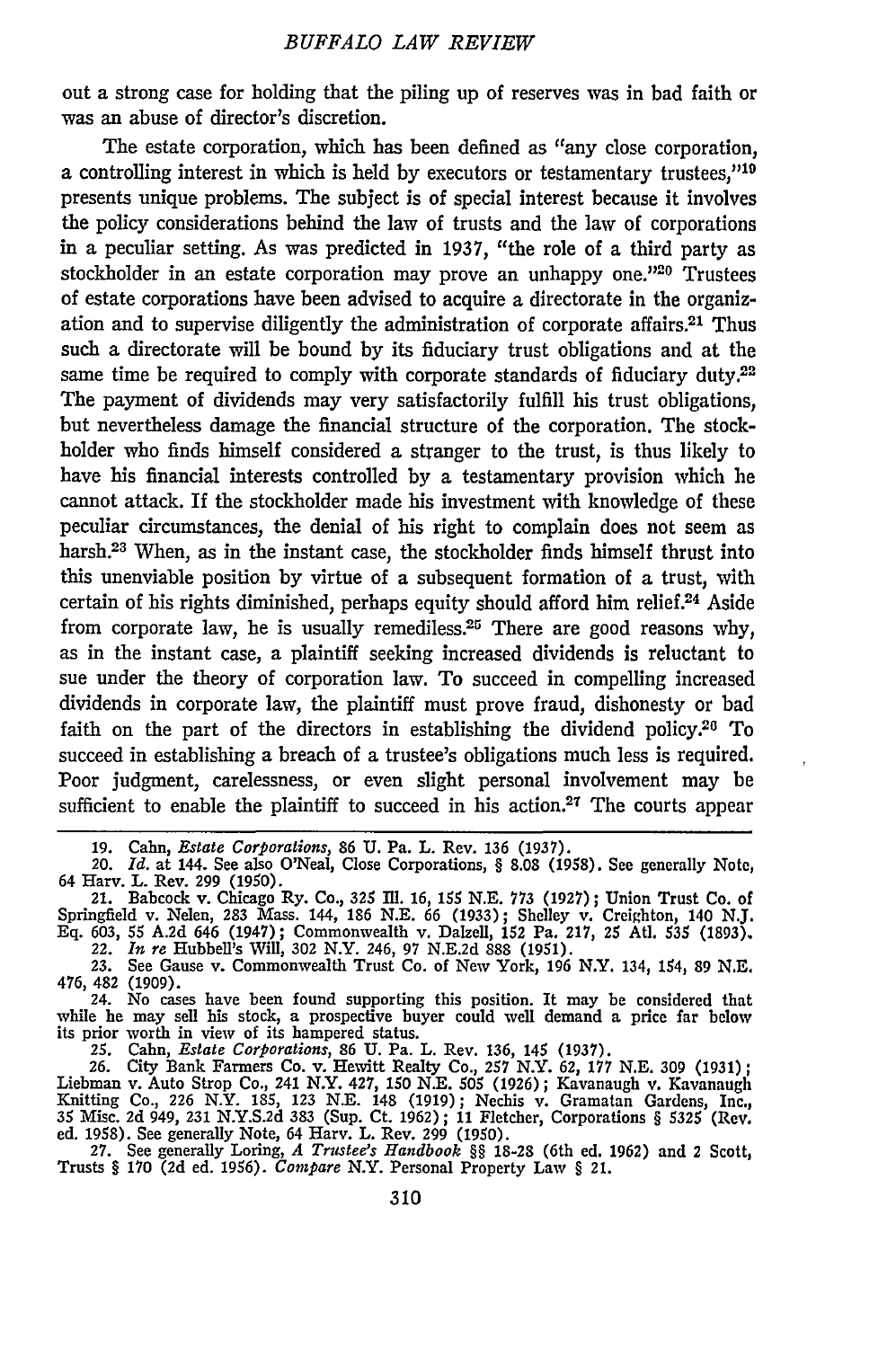out a strong case for holding that the piling up of reserves was in bad faith or was an abuse of director's discretion.

The estate corporation, which has been defined as "any close corporation, a controlling interest in which is held by executors or testamentary trustees,"<sup>19</sup> presents unique problems. The subject is of special interest because it involves the policy considerations behind the law of trusts and the law of corporations in a peculiar setting. As was predicted in 1937, "the role of a third party as stockholder in an estate corporation may prove an unhappy one."20 Trustees of estate corporations have been advised to acquire a directorate in the organization and to supervise diligently the administration of corporate affairs.2' Thus such a directorate will be bound by its fiduciary trust obligations and at the same time be required to comply with corporate standards of fiduciary duty.<sup>22</sup> The payment of dividends may very satisfactorily fulfill his trust obligations, but nevertheless damage the financial structure of the corporation. The stockholder who finds himself considered a stranger to the trust, is thus likely to have his financial interests controlled by a testamentary provision which he cannot attack. If the stockholder made his investment with knowledge of these peculiar circumstances, the denial of his right to complain does not seem as harsh.<sup>23</sup> When, as in the instant case, the stockholder finds himself thrust into this unenviable position by virtue of a subsequent formation of a trust, with certain of his rights diminished, perhaps equity should afford him relief.<sup>24</sup> Aside from corporate law, he is usually remediless.<sup>25</sup> There are good reasons why, as in the instant case, a plaintiff seeking increased dividends is reluctant to sue under the theory of corporation law. To succeed in compelling increased dividends in corporate law, the plaintiff must prove fraud, dishonesty or bad faith on the part of the directors in establishing the dividend policy.<sup>26</sup> To succeed in establishing a breach of a trustee's obligations much less is required. Poor judgment, carelessness, or even slight personal involvement may be sufficient to enable the plaintiff to succeed in his action.<sup>27</sup> The courts appear

while he may sell his stock, a prospective buyer could well demand a price far below<br>its prior worth in view of its hampered status.<br>25. Cahn, *Estate Corporations*, 86 U. Pa. L. Rev. 136, 145 (1937).<br>26. City Bank Farmers **35** Misc. 2d 949, 231 N.Y.S.2d 383 (Sup. Ct. 1962) ; 11 Fletcher, Corporations § 5325 (Rev.

ed. 1958). See generally Note, 64 Harv. L. Rev. 299 (1950).<br>27. See generally Loring, A Trustee's Handbook §§ 18-28 (6th ed. 1962) and 2 Scott,<br>Trusts § 170 (2d ed. 1956). Compare N.Y. Personal Property Law § 21.

**<sup>19.</sup>** Cahn, *Estate Corporations,* 86 **U.** Pa. L. Rev. 136 (1937). 20. *Id.* at 144. See also O'Neal, Close Corporations, § 8.08 (1958). See generally Note,

<sup>64</sup> Harv. L. Rev. 299 (1950).<br>21. Babcock v. Chicago Ry. Co., 325 Ill. 16, 155 N.E. 773 (1927); Union Trust Co. of<br>Springfield v. Nelen, 283 Mass. 144, 186 N.E. 66 (1933); Shelley v. Creighton, 140 N.J. **Eq. 603, 55** A.2d 646 (1947); Commonwealth v. Dalzell, **152** Pa. **217,** 25 At]. **535 (1893).** 22. *In re* Hubbell's Will, **302** N.Y. 246, **97** N.E.2d 888 (1951).

**<sup>23.</sup>** See Gause v. Commonwealth Trust Co. of New York, **196** N.Y. 134, 154, **89** N.E.

<sup>476, 482 (1909).</sup> 24. No cases have been found supporting this position. It may be considered that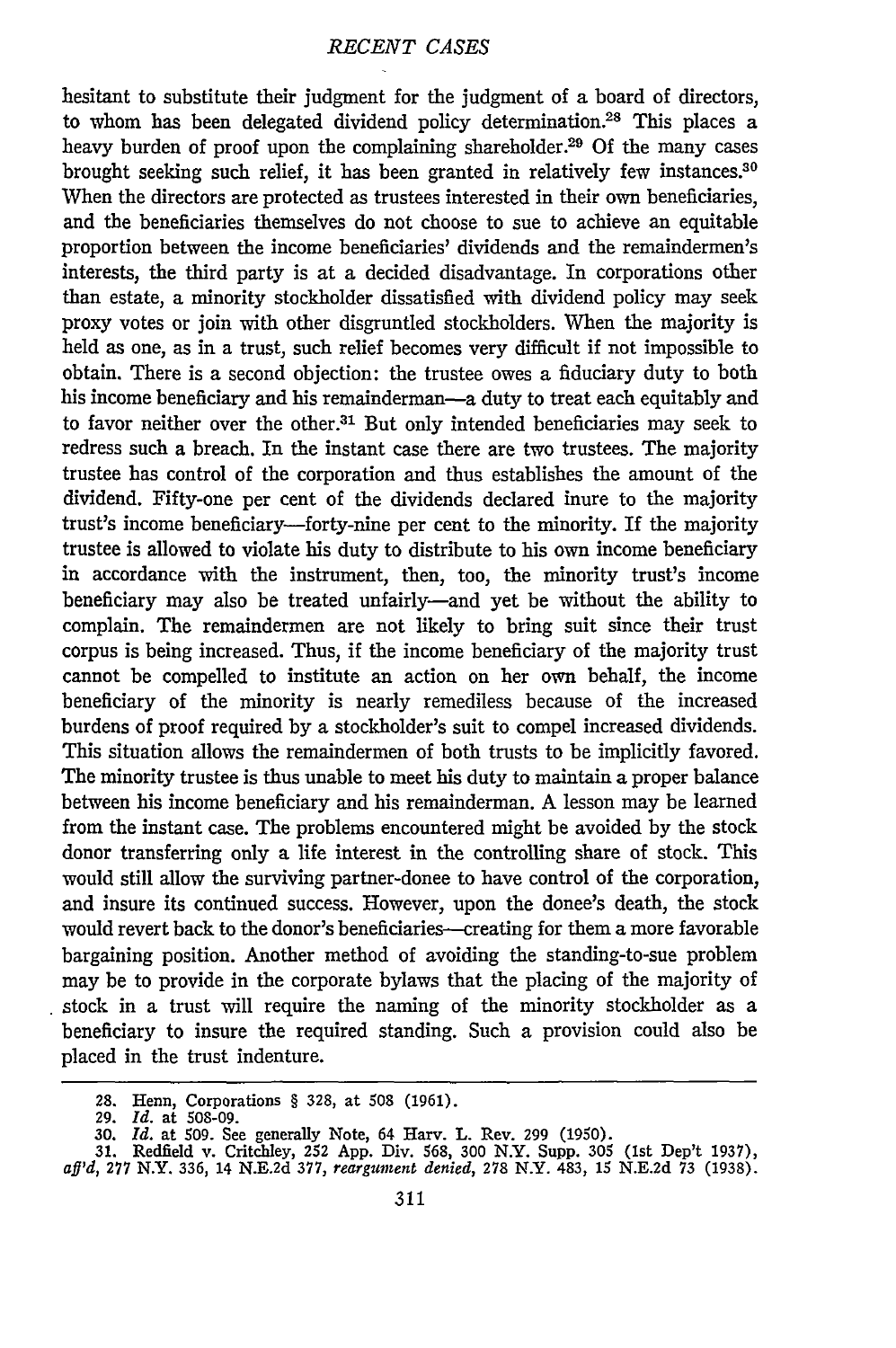hesitant to substitute their judgment for the judgment of a board of directors, to whom has been delegated dividend policy determination.<sup>28</sup> This places a heavy burden of proof upon the complaining shareholder.<sup>29</sup> Of the many cases brought seeking such relief, it has been granted in relatively few instances.<sup>30</sup> When the directors are protected as trustees interested in their own beneficiaries, and the beneficiaries themselves do not choose to sue to achieve an equitable proportion between the income beneficiaries' dividends and the remaindermen's interests, the third party is at a decided disadvantage. In corporations other than estate, a minority stockholder dissatisfied with dividend policy may seek proxy votes or join with other disgruntled stockholders. When the majority is held as one, as in a trust, such relief becomes very difficult if not impossible to obtain. There is a second objection: the trustee owes a fiduciary duty to both his income beneficiary and his remainderman-a duty to treat each equitably and to favor neither over the other.<sup>31</sup> But only intended beneficiaries may seek to redress such a breach. In the instant case there are two trustees. The majority trustee has control of the corporation and thus establishes the amount of the dividend. Fifty-one per cent of the dividends declared inure to the majority trust's income beneficiary—forty-nine per cent to the minority. If the majority trustee is allowed to violate his duty to distribute to his own income beneficiary in accordance with the instrument, then, too, the minority trust's income beneficiary may also be treated unfairly-and yet be without the ability to complain. The remaindermen are not likely to bring suit since their trust corpus is being increased. Thus, if the income beneficiary of the majority trust cannot be compelled to institute an action on her own behalf, the income beneficiary of the minority is nearly remediless because of the increased burdens of proof required by a stockholder's suit to compel increased dividends. This situation allows the remaindermen of both trusts to be implicitly favored. The minority trustee is thus unable to meet his duty to maintain a proper balance between his income beneficiary and his remainderman. A lesson may be learned from the instant case. The problems encountered might be avoided by the stock donor transferring only a life interest in the controlling share of stock. This would still allow the surviving partner-donee to have control of the corporation, and insure its continued success. However, upon the donee's death, the stock would revert back to the donor's beneficiaries-creating for them a more favorable bargaining position. Another method of avoiding the standing-to-sue problem may be to provide in the corporate bylaws that the placing of the majority of stock in a trust will require the naming of the minority stockholder as a beneficiary to insure the required standing. Such a provision could also be placed in the trust indenture.

<sup>28.</sup> Henn, Corporations § 328, at **508 (1961).**

<sup>29.</sup> *Id.* at 508-09.

<sup>30.</sup> Id. at 509. See generally Note, 64 Harv. L. Rev. 299 (1950).<br>31. Redfield v. Critchley, 252 App. Div. 568, 300 N.Y. Supp. 305 (1st Dep't 1937)<br>af<sup>1</sup>d, 277 N.Y. 336, 14 N.E.2d 377, reargument denied, 278 N.Y. 483, 15 N.